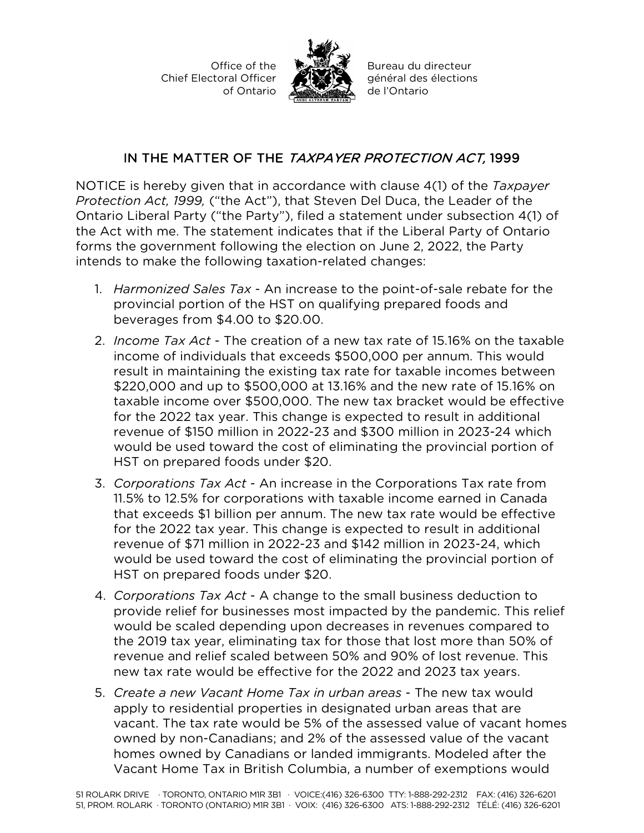Office of the Chief Electoral Officer of Ontario



Bureau du directeur général des élections de l'Ontario

## IN THE MATTER OF THE TAXPAYER PROTECTION ACT, 1999

NOTICE is hereby given that in accordance with clause 4(1) of the *Taxpayer Protection Act, 1999,* ("the Act"), that Steven Del Duca, the Leader of the Ontario Liberal Party ("the Party"), filed a statement under subsection 4(1) of the Act with me. The statement indicates that if the Liberal Party of Ontario forms the government following the election on June 2, 2022, the Party intends to make the following taxation-related changes:

- 1. *Harmonized Sales Tax*  An increase to the point-of-sale rebate for the provincial portion of the HST on qualifying prepared foods and beverages from \$4.00 to \$20.00.
- 2. *Income Tax Act*  The creation of a new tax rate of 15.16% on the taxable income of individuals that exceeds \$500,000 per annum. This would result in maintaining the existing tax rate for taxable incomes between \$220,000 and up to \$500,000 at 13.16% and the new rate of 15.16% on taxable income over \$500,000. The new tax bracket would be effective for the 2022 tax year. This change is expected to result in additional revenue of \$150 million in 2022-23 and \$300 million in 2023-24 which would be used toward the cost of eliminating the provincial portion of HST on prepared foods under \$20.
- 3. *Corporations Tax Act*  An increase in the Corporations Tax rate from 11.5% to 12.5% for corporations with taxable income earned in Canada that exceeds \$1 billion per annum. The new tax rate would be effective for the 2022 tax year. This change is expected to result in additional revenue of \$71 million in 2022-23 and \$142 million in 2023-24, which would be used toward the cost of eliminating the provincial portion of HST on prepared foods under \$20.
- 4. *Corporations Tax Act*  A change to the small business deduction to provide relief for businesses most impacted by the pandemic. This relief would be scaled depending upon decreases in revenues compared to the 2019 tax year, eliminating tax for those that lost more than 50% of revenue and relief scaled between 50% and 90% of lost revenue. This new tax rate would be effective for the 2022 and 2023 tax years.
- 5. *Create a new Vacant Home Tax in urban areas*  The new tax would apply to residential properties in designated urban areas that are vacant. The tax rate would be 5% of the assessed value of vacant homes owned by non-Canadians; and 2% of the assessed value of the vacant homes owned by Canadians or landed immigrants. Modeled after the Vacant Home Tax in British Columbia, a number of exemptions would